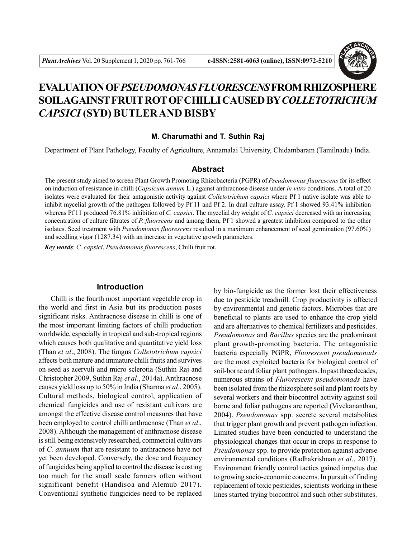

# **EVALUATION OF***PSEUDOMONAS FLUORESCENS* **FROM RHIZOSPHERE SOILAGAINST FRUIT ROT OF CHILLI CAUSED BY***COLLETOTRICHUM CAPSICI* **(SYD) BUTLER AND BISBY**

#### **M. Charumathi and T. Suthin Raj**

Department of Plant Pathology, Faculty of Agriculture, Annamalai University, Chidambaram (Tamilnadu) India.

# **Abstract**

The present study aimed to screen Plant Growth Promoting Rhizobacteria (PGPR) of *Pseudomonas fluorescens* for its effect on induction of resistance in chilli (*Capsicum annum* L.) against anthracnose disease under *in vitro* conditions. A total of 20 isolates were evaluated for their antagonistic activity against *Colletotrichum capsici* where Pf 1 native isolate was able to inhibit mycelial growth of the pathogen followed by Pf 11 and Pf 2. In dual culture assay, Pf 1 showed 93.41% inhibition whereas Pf 11 produced 76.81% inhibition of *C. capsici*. The mycelial dry weight of *C. capsici* decreased with an increasing concentration of culture filtrates of *P. fluorscens* and among them, Pf 1 showed a greatest inhibition compared to the other isolates. Seed treatment with *Pseudomonas fluorescens* resulted in a maximum enhancement of seed germination (97.60%) and seedling vigor (1287.34) with an increase in vegetative growth parameters.

*Key words*: *C. capsici*, *Pseudomonas fluorescens*, Chilli fruit rot.

#### **Introduction**

Chilli is the fourth most important vegetable crop in the world and first in Asia but its production poses significant risks. Anthracnose disease in chilli is one of the most important limiting factors of chilli production worldwide, especially in tropical and sub-tropical regions which causes both qualitative and quantitative yield loss (Than *et al*., 2008). The fungus *Colletotrichum capsici* affects both mature and immature chilli fruits and survives on seed as acervuli and micro sclerotia (Suthin Raj and Christopher 2009, Suthin Raj *et al*., 2014a). Anthracnose causes yield loss up to 50% in India (Sharma *et al*., 2005). Cultural methods, biological control, application of chemical fungicides and use of resistant cultivars are amongst the effective disease control measures that have been employed to control chilli anthracnose (Than *et al*., 2008). Although the management of anthracnose disease is still being extensively researched, commercial cultivars of *C. annuum* that are resistant to anthracnose have not yet been developed. Conversely, the dose and frequency of fungicides being applied to control the disease is costing too much for the small scale farmers often without significant benefit (Handisoa and Alemub 2017). Conventional synthetic fungicides need to be replaced

by bio-fungicide as the former lost their effectiveness due to pesticide treadmill. Crop productivity is affected by environmental and genetic factors. Microbes that are beneficial to plants are used to enhance the crop yield and are alternatives to chemical fertilizers and pesticides. *Pseudomonas* and *Bacillus* species are the predominant plant growth-promoting bacteria. The antagonistic bacteria especially PGPR, *Fluorescent pseudomonads* are the most exploited bacteria for biological control of soil-borne and foliar plant pathogens. In past three decades, numerous strains of *Flurorescent pseudomonads* have been isolated from the rhizosphere soil and plant roots by several workers and their biocontrol activity against soil borne and foliar pathogens are reported (Vivekananthan, 2004). *Pseudomonas* spp. secrete several metabolites that trigger plant growth and prevent pathogen infection. Limited studies have been conducted to understand the physiological changes that occur in crops in response to *Pseudomonas* spp. to provide protection against adverse environmental conditions (Radhakrishnan *et al*., 2017). Environment friendly control tactics gained impetus due to growing socio-economic concerns. In pursuit of finding replacement of toxic pesticides, scientists working in these lines started trying biocontrol and such other substitutes.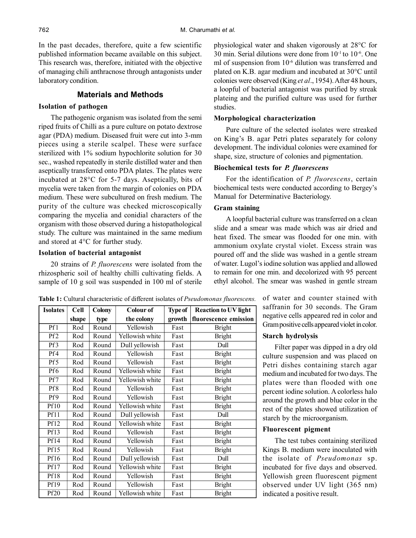In the past decades, therefore, quite a few scientific published information became available on this subject. This research was, therefore, initiated with the objective of managing chili anthracnose through antagonists under laboratory condition.

#### **Materials and Methods**

## **Isolation of pathogen**

The pathogenic organism was isolated from the semi riped fruits of Chilli as a pure culture on potato dextrose agar (PDA) medium. Diseased fruit were cut into 3-mm pieces using a sterile scalpel. These were surface sterilized with 1% sodium hypochlorite solution for 30 sec., washed repeatedly in sterile distilled water and then aseptically transferred onto PDA plates. The plates were incubated at 28°C for 5-7 days. Aseptically, bits of mycelia were taken from the margin of colonies on PDA medium. These were subcultured on fresh medium. The purity of the culture was checked microscopically comparing the mycelia and conidial characters of the organism with those observed during a histopathological study. The culture was maintained in the same medium and stored at 4°C for further study.

#### **Isolation of bacterial antagonist**

20 strains of *P. fluorescens* were isolated from the rhizospheric soil of healthy chilli cultivating fields. A sample of 10 g soil was suspended in 100 ml of sterile

physiological water and shaken vigorously at 28°C for 30 min. Serial dilutions were done from 10-1 to 10-6. One ml of suspension from  $10^{-6}$  dilution was transferred and plated on K.B. agar medium and incubated at 30°C until colonies were observed (King *et al*., 1954). After 48 hours, a loopful of bacterial antagonist was purified by streak plateing and the purified culture was used for further studies.

#### **Morphological characterization**

Pure culture of the selected isolates were streaked on King's B. agar Petri plates separately for colony development. The individual colonies were examined for shape, size, structure of colonies and pigmentation.

# **Biochemical tests for** *P. fluorescens*

For the identification of *P. fluorescens*, certain biochemical tests were conducted according to Bergey's Manual for Determinative Bacteriology.

#### **Gram staining**

A loopful bacterial culture was transferred on a clean slide and a smear was made which was air dried and heat fixed. The smear was flooded for one min. with ammonium oxylate crystal violet. Excess strain was poured off and the slide was washed in a gentle stream of water. Lugol's iodine solution was applied and allowed to remain for one min. and decolorized with 95 percent ethyl alcohol. The smear was washed in gentle stream

| <b>Isolates</b>  | <b>Cell</b> | <b>Colony</b> | Colour of       | Type of | <b>Reaction to UV light</b> |
|------------------|-------------|---------------|-----------------|---------|-----------------------------|
|                  | shape       | type          | the colony      | growth  | fluorescence emission       |
| Pf1              | Rod         | Round         | Yellowish       | Fast    | <b>Bright</b>               |
| Pf <sub>2</sub>  | Rod         | Round         | Yellowish white | Fast    | <b>Bright</b>               |
| Pf3              | Rod         | Round         | Dull yellowish  | Fast    | Dull                        |
| Pf4              | Rod         | Round         | Yellowish       | Fast    | <b>Bright</b>               |
| Pf5              | Rod         | Round         | Yellowish       | Fast    | <b>Bright</b>               |
| Pf6              | Rod         | Round         | Yellowish white | Fast    | <b>Bright</b>               |
| Pf7              | Rod         | Round         | Yellowish white | Fast    | <b>Bright</b>               |
| Pf8              | Rod         | Round         | Yellowish       | Fast    | <b>Bright</b>               |
| Pf9              | Rod         | Round         | Yellowish       | Fast    | <b>Bright</b>               |
| <b>Pf10</b>      | Rod         | Round         | Yellowish white | Fast    | <b>Bright</b>               |
| Pf11             | Rod         | Round         | Dull yellowish  | Fast    | Dull                        |
| Pf12             | Rod         | Round         | Yellowish white | Fast    | <b>Bright</b>               |
| Pf13             | Rod         | Round         | Yellowish       | Fast    | <b>Bright</b>               |
| Pf14             | Rod         | Round         | Yellowish       | Fast    | <b>Bright</b>               |
| Pf15             | Rod         | Round         | Yellowish       | Fast    | <b>Bright</b>               |
| <b>Pf16</b>      | Rod         | Round         | Dull yellowish  | Fast    | Dull                        |
| Pf17             | Rod         | Round         | Yellowish white | Fast    | <b>Bright</b>               |
| <b>Pf18</b>      | Rod         | Round         | Yellowish       | Fast    | <b>Bright</b>               |
| <b>Pf19</b>      | Rod         | Round         | Yellowish       | Fast    | <b>Bright</b>               |
| Pf <sub>20</sub> | Rod         | Round         | Yellowish white | Fast    | <b>Bright</b>               |

**Table 1:** Cultural characteristic of different isolates of *Pseudomonas fluorescens.*

of water and counter stained with saffranin for 30 seconds. The Gram negative cells appeared red in color and Gram positive cells appeared violet in color.

#### **Starch hydrolysis**

Filter paper was dipped in a dry old culture suspension and was placed on Petri dishes containing starch agar medium and incubated for two days. The plates were than flooded with one percent iodine solution. A colorless halo around the growth and blue color in the rest of the plates showed utilization of starch by the microorganism.

#### **Fluorescent pigment**

The test tubes containing sterilized Kings B. medium were inoculated with the isolate of *Pseudomonas* sp. incubated for five days and observed. Yellowish green fluorescent pigment observed under UV light (365 nm) indicated a positive result.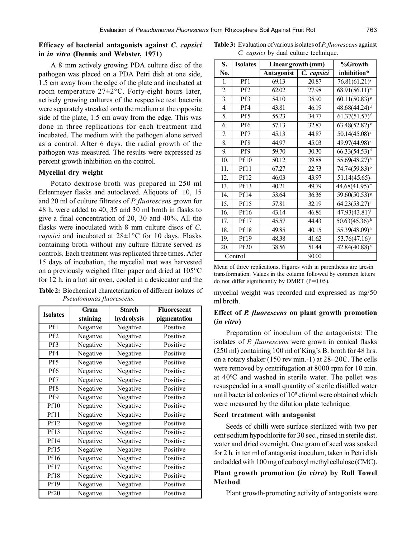# **Efficacy of bacterial antagonists against** *C. capsici* **in** *in vitro* **(Dennis and Webster, 1971)**

A 8 mm actively growing PDA culture disc of the pathogen was placed on a PDA Petri dish at one side, 1.5 cm away from the edge of the plate and incubated at room temperature 27±2°C. Forty-eight hours later, actively growing cultures of the respective test bacteria were separately streaked onto the medium at the opposite side of the plate, 1.5 cm away from the edge. This was done in three replications for each treatment and incubated. The medium with the pathogen alone served as a control. After 6 days, the radial growth of the pathogen was measured. The results were expressed as percent growth inhibition on the control.

# **Mycelial dry weight**

Potato dextrose broth was prepared in 250 ml Erlenmeyer flasks and autoclaved. Aliquots of 10, 15 and 20 ml of culture filtrates of *P. fluorescens* grown for 48 h. were added to 40, 35 and 30 ml broth in flasks to give a final concentration of 20, 30 and 40%. All the flasks were inoculated with 8 mm culture discs of *C. capsici* and incubated at 28±1°C for 10 days. Flasks containing broth without any culture filtrate served as controls. Each treatment was replicated three times. After 15 days of incubation, the mycelial mat was harvested on a previously weighed filter paper and dried at 105°C for 12 h. in a hot air oven, cooled in a desiccator and the

**Table 2:** Biochemical characterization of different isolates of *Pseudomonas fluorescens.*

| <b>Isolates</b>  | Gram     | <b>Starch</b> | Fluorescent  |
|------------------|----------|---------------|--------------|
|                  | staining | hydrolysis    | pigmentation |
| Pf1              | Negative | Negative      | Positive     |
| Pf <sub>2</sub>  | Negative | Negative      | Positive     |
| Pf3              | Negative | Negative      | Positive     |
| Pf4              | Negative | Negative      | Positive     |
| Pf5              | Negative | Negative      | Positive     |
| Pf6              | Negative | Negative      | Positive     |
| Pf7              | Negative | Negative      | Positive     |
| Pf8              | Negative | Negative      | Positive     |
| Pf9              | Negative | Negative      | Positive     |
| Pf10             | Negative | Negative      | Positive     |
| Pf11             | Negative | Negative      | Positive     |
| Pf12             | Negative | Negative      | Positive     |
| Pf13             | Negative | Negative      | Positive     |
| Pf14             | Negative | Negative      | Positive     |
| Pf15             | Negative | Negative      | Positive     |
| Pf16             | Negative | Negative      | Positive     |
| <b>Pf17</b>      | Negative | Negative      | Positive     |
| Pf18             | Negative | Negative      | Positive     |
| Pf19             | Negative | Negative      | Positive     |
| Pf <sub>20</sub> | Negative | Negative      | Positive     |

**Table 3:** Evaluation of various isolates of *P. fluorescens* against *C. capsici* by dual culture technique.

| S.                | <b>Isolates</b>   | Linear growth (mm) | %Growth    |                              |
|-------------------|-------------------|--------------------|------------|------------------------------|
| No.               |                   | <b>Antagonist</b>  | C. capsici | inhibition*                  |
| 1.                | Pf1               | 69.13              | 20.87      | $\overline{76.81(61.21)^a}$  |
| 2.                | Pf <sub>2</sub>   | 62.02              | 27.98      | $68.91(56.11)$ °             |
| 3.                | Pf3               | 54.10              | 35.90      | $\overline{60.11(50.83)^8}$  |
| 4.                | Pf4               | 43.81              | 46.19      | $48.68(44.24)^{d}$           |
| 5.                | Pf5               | 55.23              | 34.77      | $61.37(51.57)^f$             |
| $\overline{6}$ .  | Pf6               | $\overline{57.13}$ | 32.87      | $63.48(52.82)^e$             |
| 7.                | Pf7               | 45.13              | 44.87      | $50.14(45.08)^k$             |
| 8.                | Pf8               | 44.97              | 45.03      | $49.97(44.98)^{k}$           |
| 9.                | Pf9               | 59.70              | 30.30      | $66.33(54.53)^d$             |
| $\overline{10}$ . | Pf10              | 50.12              | 39.88      | $55.69(48.27)^h$             |
| $\overline{11}$ . | Pf11              | 67.27              | 22.73      | $74.74(59.83)^{b}$           |
| 12.               | Pf12              | 46.03              | 43.97      | $51.14(45.65)^{j}$           |
| 13.               | Pf13              | 40.21              | 49.79      | $44.68(41.95)^m$             |
| 14.               | Pf14              | 53.64              | 36.36      | $59.60(50.53)^8$             |
| 15.               | Pf15              | 57.81              | 32.19      | $64.23(53.27)$ <sup>e</sup>  |
| 16.               | $\overline{Pf16}$ | 43.14              | 46.86      | $47.93(43.81)^1$             |
| 17.               | Pf17              | 45.57              | 44.43      | $50.63(45.36)$ <sup>jk</sup> |
| 18.               | <b>Pf18</b>       | 49.85              | 40.15      | $55.39(48.09)^h$             |
| 19.               | Pf19              | 48.38              | 41.62      | $53.76(47.16)^{i}$           |
| 20.               | <b>Pf20</b>       | 38.56              | 51.44      | $42.84(40.88)^n$             |
| Control           |                   | 90.00              |            |                              |

Mean of three replications, Figures with in parenthesis are arcsin transformation. Values in the column followed by common letters do not differ significantly by DMRT (P=0.05).

mycelial weight was recorded and expressed as mg/50 ml broth.

# **Effect of** *P. fluorescens* **on plant growth promotion (***in vitro***)**

Preparation of inoculum of the antagonists: The isolates of *P. fluorescens* were grown in conical flasks (250 ml) containing 100 ml of King's B. broth for 48 hrs. on a rotary shaker (150 rev min.-1) at 28±20C. The cells were removed by centrifugation at 8000 rpm for 10 min. at 40<sup>0</sup>C and washed in sterile water. The pellet was resuspended in a small quantity of sterile distilled water until bacterial colonies of  $10^8$  cfu/ml were obtained which were measured by the dilution plate technique.

# **Seed treatment with antagonist**

Seeds of chilli were surface sterilized with two per cent sodium hypochlorite for 30 sec., rinsed in sterile dist. water and dried overnight. One gram of seed was soaked for 2 h. in ten ml of antagonist inoculum, taken in Petri dish and added with 100 mg of carboxyl methyl cellulose (CMC).

# **Plant growth promotion (***in vitro***) by Roll Towel Method**

Plant growth-promoting activity of antagonists were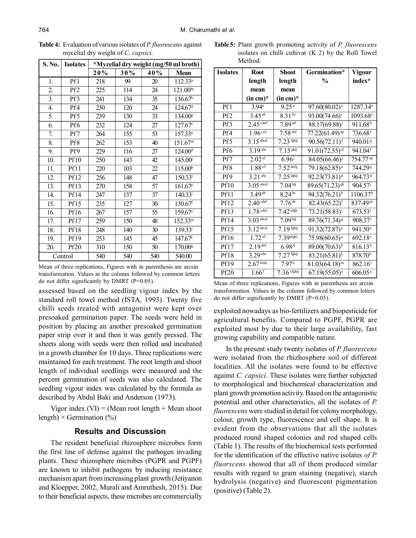| S. No.  | <b>Isolates</b> | *Mycelial dry weight (mg/50 ml broth) |     |     |                       |  |
|---------|-----------------|---------------------------------------|-----|-----|-----------------------|--|
|         |                 | 20%                                   | 30% | 40% | <b>Mean</b>           |  |
| 1.      | Pf1             | 218                                   | 99  | 20  | $112.33^a$            |  |
| 2.      | Pf <sub>2</sub> | 225                                   | 114 | 24  | $121.00^{bc}$         |  |
| 3.      | Pf3             | 241                                   | 134 | 35  | 136.67 <sup>h</sup>   |  |
| 4.      | Pf4             | 230                                   | 120 | 24  | 124.67 <sup>d</sup>   |  |
| 5.      | Pf5             | 239                                   | 130 | 33  | 134.00g               |  |
| 6.      | Pf6             | 232                                   | 124 | 27  | $127.67^{\circ}$      |  |
| 7.      | Pf7             | 264                                   | 155 | 53  | 157.33 <sup>n</sup>   |  |
| 8.      | Pf8             | 262                                   | 153 | 40  | 151.67 <sup>m</sup>   |  |
| 9.      | Pf9             | 229                                   | 116 | 27  | 124.00 <sup>d</sup>   |  |
| 10.     | <b>Pf10</b>     | 250                                   | 143 | 42  | $145.00^{i}$          |  |
| 11.     | Pf11            | 220                                   | 103 | 22  | 115.00 <sup>b</sup>   |  |
| 12.     | Pf12            | 256                                   | 148 | 47  | 150.33 <sup>1</sup>   |  |
| 13.     | Pf13            | 270                                   | 158 | 57  | 161.67 <sup>p</sup>   |  |
| 14.     | Pf14            | 247                                   | 137 | 37  | $140.33^{\rm i}$      |  |
| 15.     | <b>Pf15</b>     | 235                                   | 127 | 30  | 130.67f               |  |
| 16.     | Pf16            | 267                                   | 157 | 55  | 159.67°               |  |
| 17.     | Pf17            | 259                                   | 150 | 48  | 152.33 <sup>m</sup>   |  |
| 18.     | Pf18            | 248                                   | 140 | 30  | $139.33^{\mathrm{i}}$ |  |
| 19.     | Pf19            | 253                                   | 145 | 45  | 147.67 <sup>k</sup>   |  |
| 20.     | <b>Pf20</b>     | 310                                   | 150 | 50  | 170.00 <sup>q</sup>   |  |
| Control |                 | 540                                   | 540 | 540 | 540.00                |  |

**Table 4:** Evaluation of various isolates of *P. fluorescens* against mycelial dry weight of *C. capsici.*

Mean of three replications, Figures with in parenthesis are arcsin transformation. Values in the column followed by common letters do not differ significantly by DMRT (P=0.05).

assessed based on the seedling vigour index by the standard roll towel method (ISTA, 1993). Twenty five chilli seeds treated with antagonist were kept over presoaked germination paper. The seeds were held in position by placing an another presoaked germination paper strip over it and then it was gently pressed. The sheets along with seeds were then rolled and incubated in a growth chamber for 10 days. Three replications were maintained for each treatment. The root length and shoot length of individual seedlings were measured and the percent germination of seeds was also calculated. The seedling vigour index was calculated by the formula as described by Abdul Baki and Anderson (1973).

Vigor index  $(VI) = (Mean root length + Mean shoot)$ length)  $\times$  Germination (%)

# **Results and Discussion**

The resident beneficial rhizosphere microbes form the first line of defense against the pathogen invading plants. These rhizosphere microbes (PGPR and PGPF) are known to inhibit pathogens by inducing resistance mechanism apart from increasing plant growth (Jetiyanon and Kloepper, 2002, Murali and Amruthesh, 2015). Due to their beneficial aspects, these microbes are commercially

**Table 5:** Plant growth promoting activity of *P. fluorescens* isolates on chilli cultivar (K 2) by the Roll Towel Method.

| <b>Isolates</b>  | <b>Root</b>            | <b>Shoot</b>                  | Germination*                           | Vigour                |
|------------------|------------------------|-------------------------------|----------------------------------------|-----------------------|
|                  | length                 | length                        | $\frac{0}{0}$                          | index*                |
|                  | mean                   | mean                          |                                        |                       |
|                  | $(in cm)*$             | $(in cm)*$                    |                                        |                       |
| Pf1              | 3.94 <sup>a</sup>      | 9.25 <sup>a</sup>             | $97.60(80.02)^a$                       | $1287.34^{a}$         |
| Pf <sub>2</sub>  | $3.45^{ab}$            | 8.31 <sup>bc</sup>            | $93.00(74.66)$ <sup>c</sup>            | 1093.68 <sup>c</sup>  |
| Pf3              | $2.45$ cdef            | $7.89$ <sup>ed</sup>          | $88.17(69.88)^{j}$                     | 911.68 <sup>h</sup>   |
| Pf4              | 1.96 <sup>cef</sup>    | $7.58$ <sup>def</sup>         | 77.22(61.49) <sup>op</sup>             | 736.68 <sup>r</sup>   |
| Pf <sub>5</sub>  | $3.15$ <sup>abcd</sup> | $7.23$ fghij                  | $90.56(72.11)^f$                       | 940.01 <sup>g</sup>   |
| Pf6              | $3.19$ <sup>abc</sup>  | 7.15 <sup>ghij</sup>          | 91.01 $(72.5\overline{5})^{\text{ef}}$ | $941.04$ <sup>f</sup> |
| Pf7              | 2.02 <sup>ef</sup>     | $6.96^{j}$                    | 84.05(66.46)                           | 754.77 op             |
| Pf8              | 1.88 <sup>ef</sup>     | $7.52$ defg                   | $79.18(62.85)^n$                       | 744.29 <sup>q</sup>   |
| Pf9              | $3.21$ <sup>abc</sup>  | $7.25$ fghij                  | $92.23(73.81)^d$                       | 964.73 <sup>d</sup>   |
| <b>Pf10</b>      | $3.05$ <sup>abcd</sup> | 7.04 <sup>hij</sup>           | $89.65(71.23)^{\text{gh}}$             | 904.57 <sup>j</sup>   |
| <b>Pf11</b>      | 3.49 <sup>ab</sup>     | $8.24^{bc}$                   | 94.32(76.21) <sup>b</sup>              | 1106.37 <sup>b</sup>  |
| Pf12             | 2.40 <sup>cdef</sup>   | $7.76 \text{ }^{\mathrm{de}}$ | $82.43(65.22)^1$                       | 837.49 <sup>m</sup>   |
| Pf13             | $1.78$ cdef            | 7.42 <sup>efgh</sup>          | $73.21(58.83)^{r}$                     | $673.53$ <sup>t</sup> |
| Pf14             | $3.03$ <sup>abcd</sup> | 7.09 <sup>hij</sup>           | $89.76(71.34)^8$                       | $908.37$ <sup>i</sup> |
| Pf15             | $3.12$ <sup>abcd</sup> | $7.19$ fghij                  | $91.32(72.87)$ <sup>e</sup>            | 941.50 <sup>e</sup>   |
| <b>Pf16</b>      | $1.72$ <sup>ef</sup>   | $7.39e$ fghi                  | $75.98(60.65)^q$                       | 692.18 <sup>s</sup>   |
| Pf17             | $2.19$ def             | $6.98$ <sup>ij</sup>          | $89.00(70.63)$ <sup>h</sup>            | 816.13 <sup>n</sup>   |
| <b>Pf18</b>      | $3.29$ <sup>abc</sup>  | $7.27$ fghij                  | $83.21(65.81)^k$                       | 878.70 <sup>k</sup>   |
| Pf19             | 2.67 <sup>b</sup>      | $7.97^{b}$                    | $81.03(64.18)^m$                       | 862.16 <sup>1</sup>   |
| Pf <sub>20</sub> | $1.66$ <sup>f</sup>    | $7.36$ efghij                 | $67.19(55.05)^{s}$                     | $606.05^u$            |

| Mean of three replications, Figures with in parenthesis are arcsin |  |
|--------------------------------------------------------------------|--|
| transformation. Values in the column followed by common letters    |  |
| do not differ significantly by DMRT ( $P=0.05$ ).                  |  |

exploited nowadays as bio-fertilizers and biopesticide for agricultural benefits. Compared to PGPF, PGPR are exploited most by due to their large availability, fast growing capability and compatible nature.

In the present study twenty isolates of *P. fluorescens* were isolated from the rhizhosphere soil of different localities. All the isolates were found to be effective against *C. capsici*. These isolates were further subjected to morphological and biochemical characterization and plant growth promotion activity. Based on the antagonistic potential and other characteristics, all the isolates of *P. fluorescens* were studied in detail for colony morphology, colour, growth type, fluorescence and cell shape. It is evident from the observations that all the isolates produced round shaped colonies and rod shaped cells (Table 1). The results of the biochemical tests performed for the identification of the effective native isolates *of P. fluorscens* showed that all of them produced similar results with regard to gram staining (negative), starch hydrolysis (negative) and fluorescent pigmentation (positive) (Table 2).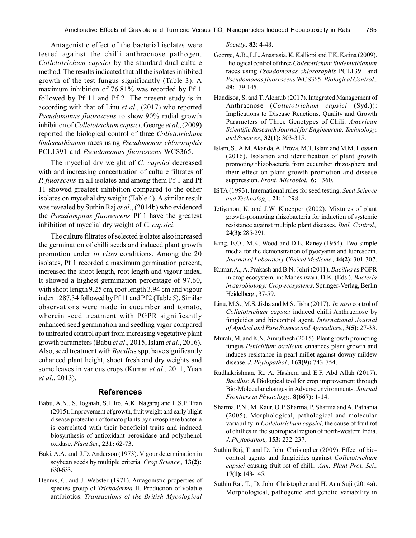Antagonistic effect of the bacterial isolates were tested against the chilli anthracnose pathogen, *Colletotrichum capsici* by the standard dual culture method. The results indicated that all the isolates inhibited growth of the test fungus significantly (Table 3). A maximum inhibition of 76.81% was recorded by Pf 1 followed by Pf 11 and Pf 2. The present study is in according with that of Linu *et al*., (2017) who reported *Pseudomonas fluorescens* to show 90% radial growth inhibition of *Colletotrichum capsici*. George *et al*., (2009) reported the biological control of three *Colletotrichum lindemuthianum* races using *Pseudomonas chlororaphis* PCL1391 and *Pseudomonas fluorescens* WCS365.

The mycelial dry weight of *C. capsici* decreased with and increasing concentration of culture filtrates of *P. fluorscens* in all isolates and among them Pf 1 and Pf 11 showed greatest inhibition compared to the other isolates on mycelial dry weight (Table 4). A similar result was revealed by Suthin Raj *et al*., (2014b) who evidenced the *Pseudompnas fluorescens* Pf 1 have the greatest inhibition of mycelial dry weight of *C. capsici.*

The culture filtrates of selected isolates also increased the germination of chilli seeds and induced plant growth promotion under *in vitro* conditions. Among the 20 isolates, Pf 1 recorded a maximum germination percent, increased the shoot length, root length and vigour index. It showed a highest germination percentage of 97.60, with shoot length 9.25 cm, root length 3.94 cm and vigour index 1287.34 followed by Pf 11 and Pf 2 (Table 5). Similar observations were made in cucumber and tomato, wherein seed treatment with PGPR significantly enhanced seed germination and seedling vigor compared to untreated control apart from increasing vegetative plant growth parameters (Babu *et al*., 2015, Islam *et al*., 2016). Also, seed treatment with *Bacillu*s spp. have significantly enhanced plant height, shoot fresh and dry weights and some leaves in various crops (Kumar *et al*., 2011, Yuan *et al*., 2013).

# **References**

- Babu, A.N., S. Jogaiah, S.I. Ito, A.K. Nagaraj and L.S.P. Tran (2015). Improvement of growth, fruit weight and early blight disease protection of tomato plants by rhizosphere bacteria is correlated with their beneficial traits and induced biosynthesis of antioxidant peroxidase and polyphenol oxidase. *Plant Sci.,* **231:** 62-73.
- Baki, A.A. and J.D. Anderson (1973). Vigour determination in soybean seeds by multiple criteria. *Crop Science.,* **13(2):** 630-633.
- Dennis, C. and J. Webster (1971). Antagonistic properties of species group of *Trichoderma* II. Production of volatile antibiotics. *Transactions of the British Mycological*

*Society.,* **82:** 4-48.

- George, A.B., L.L. Anastasia, K. Kalliopi and T.K. Katina (2009). Biological control of three *Colletotrichum lindemuthianum* races using *Pseudomonas chlororaphis* PCL1391 and *Pseudomonas fluorescens* WCS365. *Biological Control.,* **49:** 139-145.
- Handisoa, S. and T. Alemub (2017). Integrated Management of Anthracnose (*Colletotrichum capsici* (Syd.)): Implications to Disease Reactions, Quality and Growth Parameters of Three Genotypes of Chili. *American Scientific Research Journal for Engineering, Technology, and Sciences.,* **32(1):** 303-315.
- Islam, S., A.M. Akanda, A. Prova, M.T. Islam and M.M. Hossain (2016). Isolation and identification of plant growth promoting rhizobacteria from cucumber rhizosphere and their effect on plant growth promotion and disease suppression. *Front. Microbiol.,* **6:** 1360.
- ISTA (1993). International rules for seed testing. *Seed Science and Technology.,* **21:** 1-298.
- Jetiyanon, K. and J.W. Kloepper (2002). Mixtures of plant growth-promoting rhizobacteria for induction of systemic resistance against multiple plant diseases. *Biol. Control.,* **24(3):** 285-291.
- King, E.O., M.K. Wood and D.E. Raney (1954). Two simple media for the demonstration of pyocyanin and luorescein. *Journal of Laboratory Clinical Medicine.,* **44(2):** 301-307.
- Kumar, A., A. Prakash and B.N. Johri (2011). *Bacillus* as PGPR in crop ecosystem, in: Maheshwari, D.K. (Eds.), *Bacteria in agrobiology: Crop ecosystems*. Springer-Verlag, Berlin Heidelberg., 37-59.
- Linu, M.S., M.S. Jisha and M.S. Jisha (2017). *In vitro* control of *Colletotrichum capsici* induced chilli Anthracnose by fungicides and biocontrol agent. *International Journal of Applied and Pure Science and Agriculture.,* **3(5):** 27-33.
- Murali, M. and K.N. Amruthesh (2015). Plant growth promoting fungus *Penicillium oxalicum* enhances plant growth and induces resistance in pearl millet against downy mildew disease. *J. Phytopathol.,* **163(9):** 743-754.
- Radhakrishnan, R., A. Hashem and E.F. Abd Allah (2017). *Bacillus*: A Biological tool for crop improvement through Bio-Molecular changes in Adverse environments. *Journal Frontiers in Physiology.,* **8(667):** 1-14.
- Sharma, P.N., M. Kaur, O.P. Sharma, P. Sharma and A. Pathania (2005). Morphological, pathological and molecular variability in *Colletotrichum capsici*, the cause of fruit rot of chillies in the subtropical region of north-western India. *J. Phytopathol.,* **153:** 232-237.
- Suthin Raj, T. and D. John Christopher (2009). Effect of biocontrol agents and fungicides against *Colletotrichum capsici* causing fruit rot of chilli. *Ann. Plant Prot. Sci.,* **17(1):** 143-145.
- Suthin Raj, T., D. John Christopher and H. Ann Suji (2014a). Morphological, pathogenic and genetic variability in